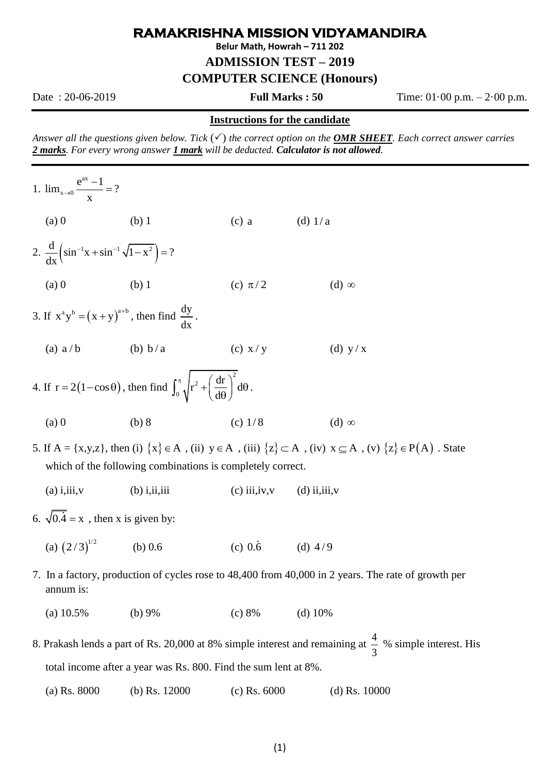## **RAMAKRISHNA MISSION VIDYAMANDIRA**

**Belur Math, Howrah – 711 202**

**ADMISSION TEST – 2019**

**COMPUTER SCIENCE (Honours)**

Date : 20-06-2019 **Full Marks : 50** Time: 01·00 p.m. – 2·00 p.m.

## **Instructions for the candidate**

*Answer all the questions given below. Tick*  $(\checkmark)$  *the correct option on the OMR SHEET. Each correct answer carries 2 marks. For every wrong answer 1 mark will be deducted. Calculator is not allowed.* 

1. ax  $\lim_{x\to 0} \frac{e^{ax} - 1}{x} = ?$  $\rightarrow 0$  X  $\frac{-1}{\phantom{1}}$ (a) 0 (b) 1 (c)  $(c)$  a (d) 1/ a 2.  $\frac{d}{dx} \left( \sin^{-1} x + \sin^{-1} \sqrt{1 - x^2} \right) = ?$ (a) 0 (b) 1 (c) (c)  $\pi/2$  $(d)$   $\infty$ 3. If  $x^a y^b = (x + y)^{a+b}$ , then find  $\frac{dy}{dx}$ dx . (a)  $a/b$ (b)  $b/a$ (c) x / y (d) y / x 4. If  $r = 2(1-\cos\theta)$ , then find 2 2  $\int_0^{\pi} \sqrt{r^2 + \left(\frac{dr}{d\theta}\right)^2} d\theta$  $\int_0^{\pi} \sqrt{r^2 + \left(\frac{dr}{d\theta}\right)^2} d\theta$ . (a) 0 (b) 8 (c) (c)  $1/8$  $(d)$   $\infty$ 5. If  $A = \{x,y,z\}$ , then (i)  $\{x\} \in A$ , (ii)  $y \in A$ , (iii)  $\{z\} \subset A$ , (iv)  $x \subseteq A$ , (v)  $\{z\} \in P(A)$ . State which of the following combinations is completely correct. (a) i,iii,v (b) i,ii,iii (c) iii,iv,v (d) ii,iii,v 6.  $\sqrt{0.4} = x$ , then x is given by: (a)  $(2/3)^{1/2}$  $(b) 0.6$  $(c)$  0.6  $(d)$  4/9 7. In a factory, production of cycles rose to 48,400 from 40,000 in 2 years. The rate of growth per annum is: (a)  $10.5\%$  (b)  $9\%$  (c)  $8\%$  (d)  $10\%$ 8. Prakash lends a part of Rs. 20,000 at 8% simple interest and remaining at  $\frac{4}{5}$ 3 % simple interest. His

total income after a year was Rs. 800. Find the sum lent at 8%.

(a) Rs. 8000 (b) Rs. 12000 (c) Rs. 6000 (d) Rs. 10000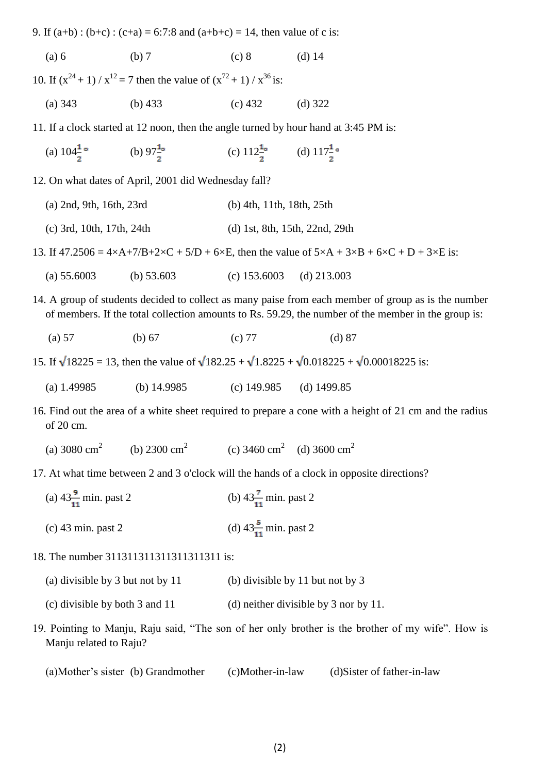9. If  $(a+b)$ :  $(b+c)$ :  $(c+a) = 6:7:8$  and  $(a+b+c) = 14$ , then value of c is:

(a) 6 (b) 7 (c) 8 (d) 14

10. If  $(x^{24} + 1) / x^{12} = 7$  then the value of  $(x^{72} + 1) / x^{36}$  is: (a) 343 (b) 433 (c) 432 (d) 322

- 11. If a clock started at 12 noon, then the angle turned by hour hand at 3:45 PM is:
	- (a)  $104\frac{1}{2}$  ° (b)  $97\frac{1}{2}$  ° (c)  $112\frac{1}{2}$  ° (d)  $117\frac{1}{2}$  °

12. On what dates of April, 2001 did Wednesday fall?

(a) 2nd, 9th, 16th, 23rd (b) 4th, 11th, 18th, 25th (c) 3rd, 10th, 17th, 24th (d) 1st, 8th, 15th, 22nd, 29th

13. If  $47.2506 = 4 \times A + 7/B + 2 \times C + 5/D + 6 \times E$ , then the value of  $5 \times A + 3 \times B + 6 \times C + D + 3 \times E$  is:

- (a) 55.6003 (b) 53.603 (c) 153.6003 (d) 213.003
- 14. A group of students decided to collect as many paise from each member of group as is the number of members. If the total collection amounts to Rs. 59.29, the number of the member in the group is:
	- (a) 57 (b) 67 (c) 77 (d) 87
- 15. If  $\sqrt{18225} = 13$ , then the value of  $\sqrt{182.25} + \sqrt{1.8225} + \sqrt{0.018225} + \sqrt{0.00018225}$  is:
	- (a) 1.49985 (b) 14.9985 (c) 149.985 (d) 1499.85

16. Find out the area of a white sheet required to prepare a cone with a height of 21 cm and the radius of 20 cm.

- (a)  $3080 \text{ cm}^2$ (b)  $2300 \text{ cm}^2$ (c) 3460 cm<sup>2</sup> (d) 3600 cm<sup>2</sup>
- 17. At what time between 2 and 3 o'clock will the hands of a clock in opposite directions?
	- (a)  $43\frac{9}{11}$  min. past 2 (b)  $43\frac{7}{11}$  min. past 2 (c) 43 min. past 2 (d)  $43\frac{5}{11}$  min. past 2

## 18. The number 311311311311311311311 is:

- (a) divisible by 3 but not by 11 (b) divisible by 11 but not by 3
- (c) divisible by both 3 and 11 (d) neither divisible by 3 nor by 11.
- 19. Pointing to Manju, Raju said, "The son of her only brother is the brother of my wife". How is Manju related to Raju?
	- (a)Mother's sister (b) Grandmother (c)Mother-in-law (d)Sister of father-in-law